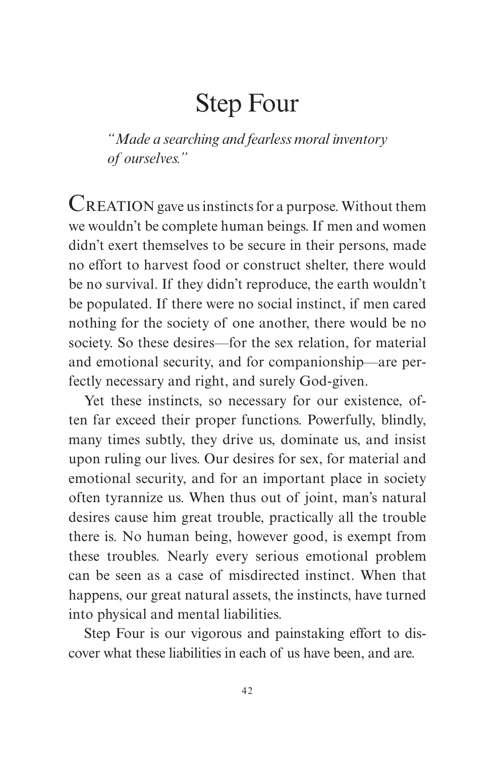## Step Four

*"Made a searching and fearless moral inventory of ourselves."*

CREATION gave us instincts for a purpose. Without them we wouldn't be complete human beings. If men and women didn't exert themselves to be secure in their persons, made no effort to harvest food or construct shelter, there would be no survival. If they didn't reproduce, the earth wouldn't be populated. If there were no social instinct, if men cared nothing for the society of one another, there would be no society. So these desires—for the sex relation, for material and emotional security, and for companionship—are perfectly necessary and right, and surely God-given.

Yet these instincts, so necessary for our existence, often far exceed their proper functions. Powerfully, blindly, many times subtly, they drive us, dominate us, and insist upon ruling our lives. Our desires for sex, for material and emotional security, and for an important place in society often tyrannize us. When thus out of joint, man's natural desires cause him great trouble, practically all the trouble there is. No human being, however good, is exempt from these troubles. Nearly every serious emotional problem can be seen as a case of misdirected instinct. When that happens, our great natural assets, the instincts, have turned into physical and mental liabilities.

Step Four is our vigorous and painstaking effort to discover what these liabilities in each of us have been, and are.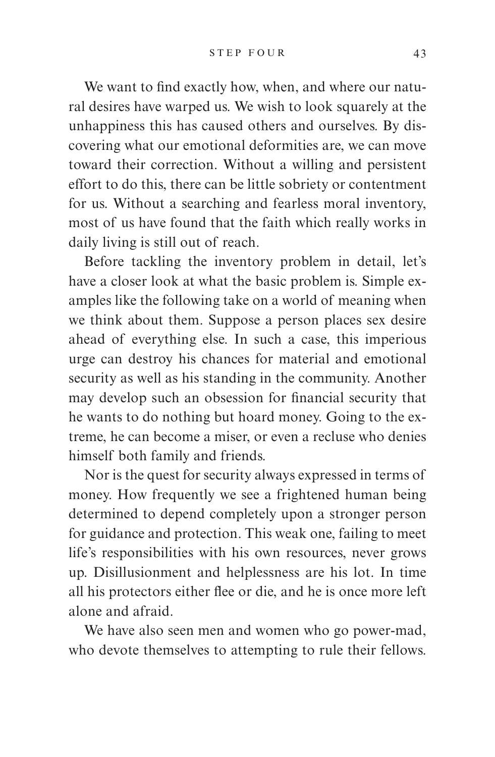We want to find exactly how, when, and where our natural desires have warped us. We wish to look squarely at the unhappiness this has caused others and ourselves. By discovering what our emotional deformities are, we can move toward their correction. Without a willing and persistent effort to do this, there can be little sobriety or contentment for us. Without a searching and fearless moral inventory, most of us have found that the faith which really works in daily living is still out of reach.

Before tackling the inventory problem in detail, let's have a closer look at what the basic problem is. Simple examples like the following take on a world of meaning when we think about them. Suppose a person places sex desire ahead of everything else. In such a case, this imperious urge can destroy his chances for material and emotional security as well as his standing in the community. Another may develop such an obsession for financial security that he wants to do nothing but hoard money. Going to the extreme, he can become a miser, or even a recluse who denies himself both family and friends.

Nor is the quest for security always expressed in terms of money. How frequently we see a frightened human being determined to depend completely upon a stronger person for guidance and protection. This weak one, failing to meet life's responsibilities with his own resources, never grows up. Disillusionment and helplessness are his lot. In time all his protectors either flee or die, and he is once more left alone and afraid.

We have also seen men and women who go power-mad, who devote themselves to attempting to rule their fellows.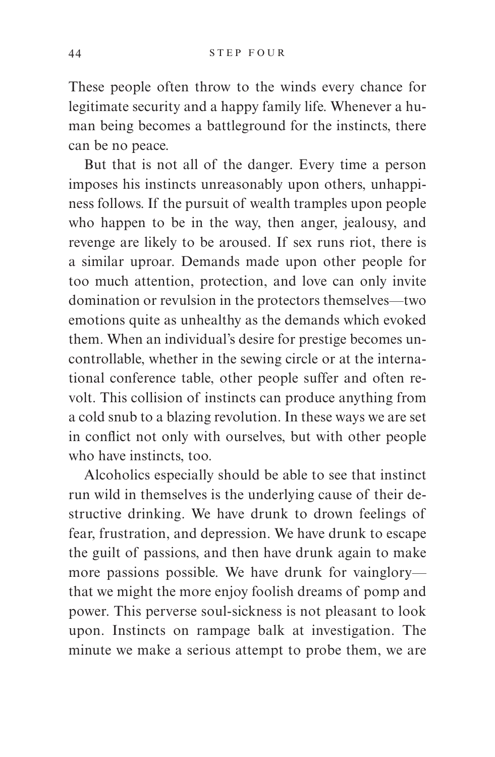These people often throw to the winds every chance for legitimate security and a happy family life. Whenever a human being becomes a battleground for the instincts, there can be no peace.

But that is not all of the danger. Every time a person imposes his instincts unreasonably upon others, unhappiness follows. If the pursuit of wealth tramples upon people who happen to be in the way, then anger, jealousy, and revenge are likely to be aroused. If sex runs riot, there is a similar uproar. Demands made upon other people for too much attention, protection, and love can only invite domination or revulsion in the protectors themselves—two emotions quite as unhealthy as the demands which evoked them. When an individual's desire for prestige becomes uncontrollable, whether in the sewing circle or at the international conference table, other people suffer and often revolt. This collision of instincts can produce anything from a cold snub to a blazing revolution. In these ways we are set in conflict not only with ourselves, but with other people who have instincts, too.

Alcoholics especially should be able to see that instinct run wild in themselves is the underlying cause of their destructive drinking. We have drunk to drown feelings of fear, frustration, and depression. We have drunk to escape the guilt of passions, and then have drunk again to make more passions possible. We have drunk for vainglory that we might the more enjoy foolish dreams of pomp and power. This perverse soul-sickness is not pleasant to look upon. Instincts on rampage balk at investigation. The minute we make a serious attempt to probe them, we are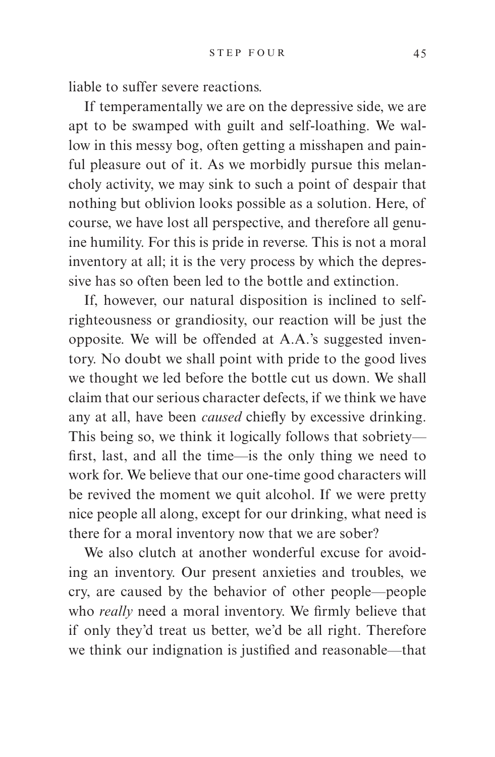liable to suffer severe reactions.

If temperamentally we are on the depressive side, we are apt to be swamped with guilt and self-loathing. We wallow in this messy bog, often getting a misshapen and painful pleasure out of it. As we morbidly pursue this melancholy activity, we may sink to such a point of despair that nothing but oblivion looks possible as a solution. Here, of course, we have lost all perspective, and therefore all genuine humility. For this is pride in reverse. This is not a moral inventory at all; it is the very process by which the depressive has so often been led to the bottle and extinction.

If, however, our natural disposition is inclined to selfrighteousness or grandiosity, our reaction will be just the opposite. We will be offended at A.A.'s suggested inventory. No doubt we shall point with pride to the good lives we thought we led before the bottle cut us down. We shall claim that our serious character defects, if we think we have any at all, have been *caused* chiefly by excessive drinking. This being so, we think it logically follows that sobriety first, last, and all the time—is the only thing we need to work for. We believe that our one-time good characters will be revived the moment we quit alcohol. If we were pretty nice people all along, except for our drinking, what need is there for a moral inventory now that we are sober?

We also clutch at another wonderful excuse for avoiding an inventory. Our present anxieties and troubles, we cry, are caused by the behavior of other people—people who *really* need a moral inventory. We firmly believe that if only they'd treat us better, we'd be all right. Therefore we think our indignation is justified and reasonable—that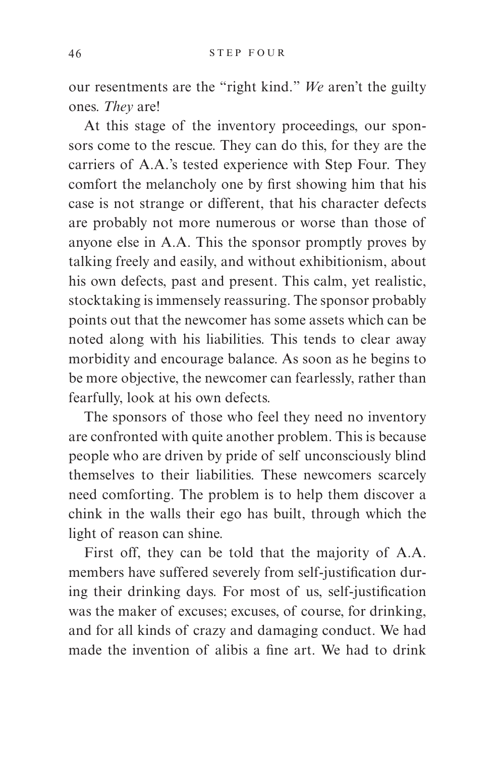our resentments are the "right kind." *We* aren't the guilty ones. *They* are!

At this stage of the inventory proceedings, our sponsors come to the rescue. They can do this, for they are the carriers of A.A.'s tested experience with Step Four. They comfort the melancholy one by first showing him that his case is not strange or different, that his character defects are probably not more numerous or worse than those of anyone else in A.A. This the sponsor promptly proves by talking freely and easily, and without exhibitionism, about his own defects, past and present. This calm, yet realistic, stocktaking is immensely reassuring. The sponsor probably points out that the newcomer has some assets which can be noted along with his liabilities. This tends to clear away morbidity and encourage balance. As soon as he begins to be more objective, the newcomer can fearlessly, rather than fearfully, look at his own defects.

The sponsors of those who feel they need no inventory are confronted with quite another problem. This is because people who are driven by pride of self unconsciously blind themselves to their liabilities. These newcomers scarcely need comforting. The problem is to help them discover a chink in the walls their ego has built, through which the light of reason can shine.

First off, they can be told that the majority of A.A. members have suffered severely from self-justification during their drinking days. For most of us, self-justification was the maker of excuses; excuses, of course, for drinking, and for all kinds of crazy and damaging conduct. We had made the invention of alibis a fine art. We had to drink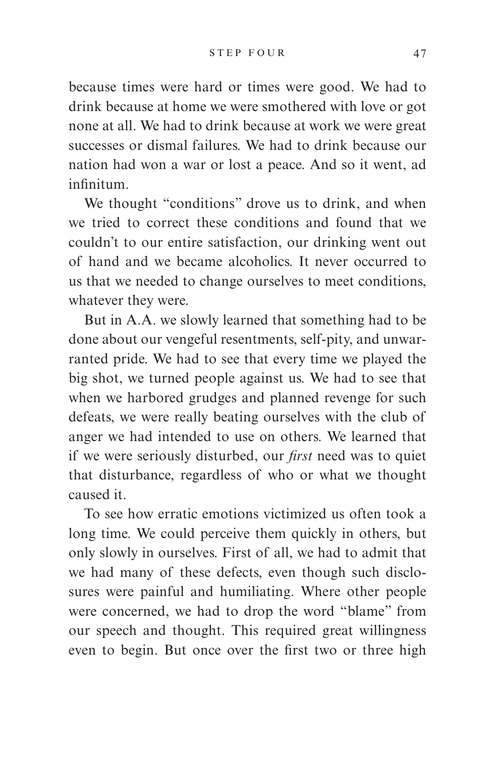because times were hard or times were good. We had to drink because at home we were smothered with love or got none at all. We had to drink because at work we were great successes or dismal failures. We had to drink because our nation had won a war or lost a peace. And so it went, ad infinitum

We thought "conditions" drove us to drink, and when we tried to correct these conditions and found that we couldn't to our entire satisfaction, our drinking went out of hand and we became alcoholics. It never occurred to us that we needed to change ourselves to meet conditions, whatever they were.

But in A.A. we slowly learned that something had to be done about our vengeful resentments, self-pity, and unwarranted pride. We had to see that every time we played the big shot, we turned people against us. We had to see that when we harbored grudges and planned revenge for such defeats, we were really beating ourselves with the club of anger we had intended to use on others. We learned that if we were seriously disturbed, our *first* need was to quiet that disturbance, regardless of who or what we thought caused it.

To see how erratic emotions victimized us often took a long time. We could perceive them quickly in others, but only slowly in ourselves. First of all, we had to admit that we had many of these defects, even though such disclosures were painful and humiliating. Where other people were concerned, we had to drop the word "blame" from our speech and thought. This required great willingness even to begin. But once over the first two or three high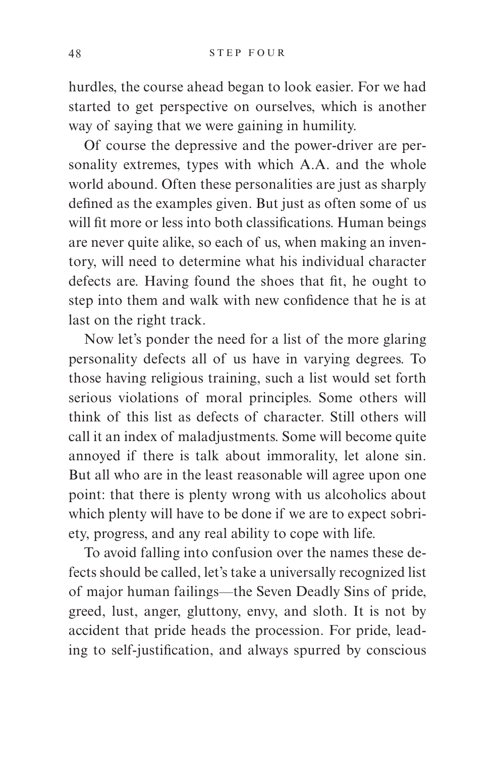hurdles, the course ahead began to look easier. For we had started to get perspective on ourselves, which is another way of saying that we were gaining in humility.

Of course the depressive and the power-driver are personality extremes, types with which A.A. and the whole world abound. Often these personalities are just as sharply defined as the examples given. But just as often some of us will fit more or less into both classifications. Human beings are never quite alike, so each of us, when making an inventory, will need to determine what his individual character defects are. Having found the shoes that fit, he ought to step into them and walk with new confidence that he is at last on the right track.

Now let's ponder the need for a list of the more glaring personality defects all of us have in varying degrees. To those having religious training, such a list would set forth serious violations of moral principles. Some others will think of this list as defects of character. Still others will call it an index of maladjustments. Some will become quite annoyed if there is talk about immorality, let alone sin. But all who are in the least reasonable will agree upon one point: that there is plenty wrong with us alcoholics about which plenty will have to be done if we are to expect sobriety, progress, and any real ability to cope with life.

To avoid falling into confusion over the names these defects should be called, let's take a universally recognized list of major human failings—the Seven Deadly Sins of pride, greed, lust, anger, gluttony, envy, and sloth. It is not by accident that pride heads the procession. For pride, leading to self-justification, and always spurred by conscious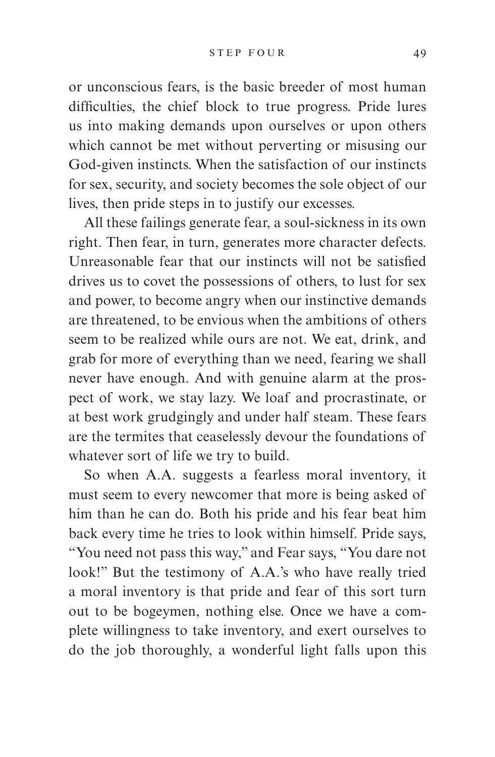or unconscious fears, is the basic breeder of most human difficulties, the chief block to true progress. Pride lures us into making demands upon ourselves or upon others which cannot be met without perverting or misusing our God-given instincts. When the satisfaction of our instincts for sex, security, and society becomes the sole object of our lives, then pride steps in to justify our excesses.

All these failings generate fear, a soul-sickness in its own right. Then fear, in turn, generates more character defects. Unreasonable fear that our instincts will not be satisfied drives us to covet the possessions of others, to lust for sex and power, to become angry when our instinctive demands are threatened, to be envious when the ambitions of others seem to be realized while ours are not. We eat, drink, and grab for more of everything than we need, fearing we shall never have enough. And with genuine alarm at the prospect of work, we stay lazy. We loaf and procrastinate, or at best work grudgingly and under half steam. These fears are the termites that ceaselessly devour the foundations of whatever sort of life we try to build.

So when A.A. suggests a fearless moral inventory, it must seem to every newcomer that more is being asked of him than he can do. Both his pride and his fear beat him back every time he tries to look within himself. Pride says, "You need not pass this way," and Fear says, "You dare not look!" But the testimony of A.A.'s who have really tried a moral inventory is that pride and fear of this sort turn out to be bogeymen, nothing else. Once we have a complete willingness to take inventory, and exert ourselves to do the job thoroughly, a wonderful light falls upon this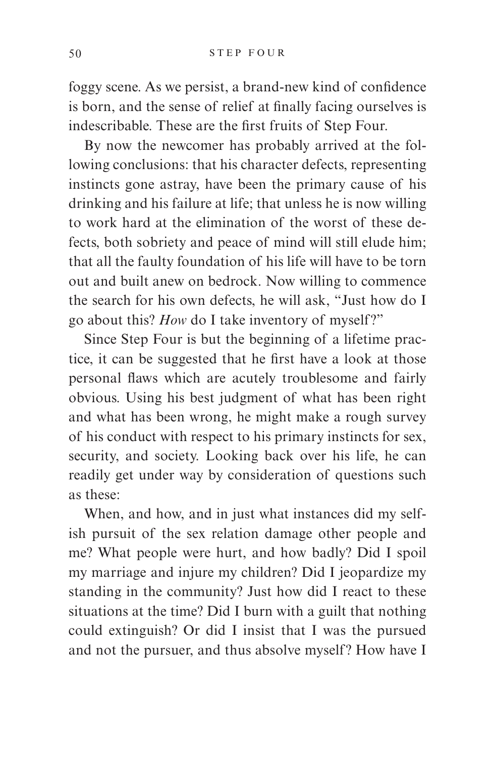foggy scene. As we persist, a brand-new kind of confidence is born, and the sense of relief at finally facing ourselves is indescribable. These are the first fruits of Step Four.

By now the newcomer has probably arrived at the following conclusions: that his character defects, representing instincts gone astray, have been the primary cause of his drinking and his failure at life; that unless he is now willing to work hard at the elimination of the worst of these defects, both sobriety and peace of mind will still elude him; that all the faulty foundation of his life will have to be torn out and built anew on bedrock. Now willing to commence the search for his own defects, he will ask, "Just how do I go about this? *How* do I take inventory of myself?"

Since Step Four is but the beginning of a lifetime practice, it can be suggested that he first have a look at those personal flaws which are acutely troublesome and fairly obvious. Using his best judgment of what has been right and what has been wrong, he might make a rough survey of his conduct with respect to his primary instincts for sex, security, and society. Looking back over his life, he can readily get under way by consideration of questions such as these:

When, and how, and in just what instances did my selfish pursuit of the sex relation damage other people and me? What people were hurt, and how badly? Did I spoil my marriage and injure my children? Did I jeopardize my standing in the community? Just how did I react to these situations at the time? Did I burn with a guilt that nothing could extinguish? Or did I insist that I was the pursued and not the pursuer, and thus absolve myself? How have I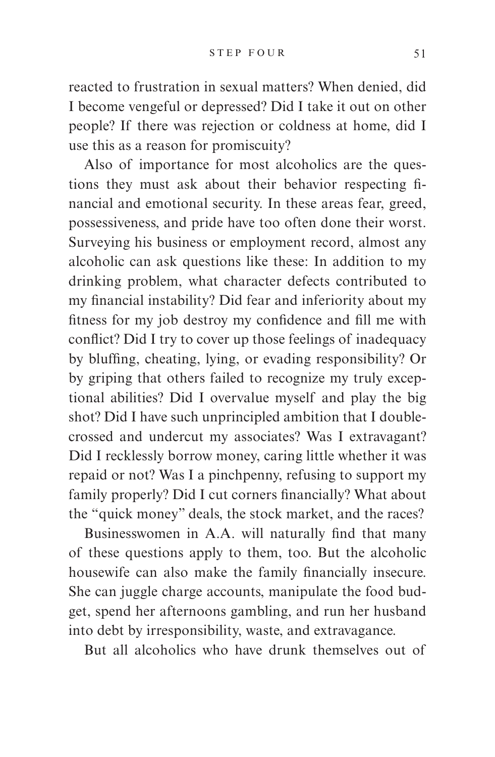reacted to frustration in sexual matters? When denied, did I become vengeful or depressed? Did I take it out on other people? If there was rejection or coldness at home, did I use this as a reason for promiscuity?

Also of importance for most alcoholics are the questions they must ask about their behavior respecting financial and emotional security. In these areas fear, greed, possessiveness, and pride have too often done their worst. Surveying his business or employment record, almost any alcoholic can ask questions like these: In addition to my drinking problem, what character defects contributed to my financial instability? Did fear and inferiority about my fitness for my job destroy my confidence and fill me with conflict? Did I try to cover up those feelings of inadequacy by bluffing, cheating, lying, or evading responsibility? Or by griping that others failed to recognize my truly exceptional abilities? Did I overvalue myself and play the big shot? Did I have such unprincipled ambition that I doublecrossed and undercut my associates? Was I extravagant? Did I recklessly borrow money, caring little whether it was repaid or not? Was I a pinchpenny, refusing to support my family properly? Did I cut corners financially? What about the "quick money" deals, the stock market, and the races?

Businesswomen in A.A. will naturally find that many of these questions apply to them, too. But the alcoholic housewife can also make the family financially insecure. She can juggle charge accounts, manipulate the food budget, spend her afternoons gambling, and run her husband into debt by irresponsibility, waste, and extravagance.

But all alcoholics who have drunk themselves out of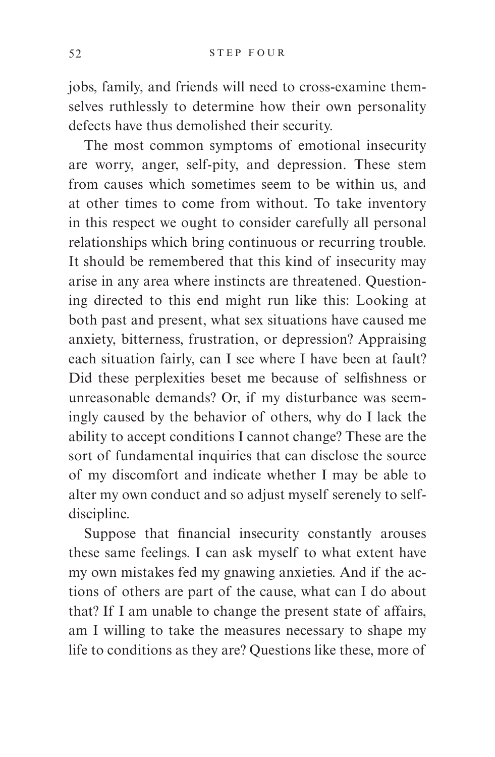jobs, family, and friends will need to cross-examine themselves ruthlessly to determine how their own personality defects have thus demolished their security.

The most common symptoms of emotional insecurity are worry, anger, self-pity, and depression. These stem from causes which sometimes seem to be within us, and at other times to come from without. To take inventory in this respect we ought to consider carefully all personal relationships which bring continuous or recurring trouble. It should be remembered that this kind of insecurity may arise in any area where instincts are threatened. Questioning directed to this end might run like this: Looking at both past and present, what sex situations have caused me anxiety, bitterness, frustration, or depression? Appraising each situation fairly, can I see where I have been at fault? Did these perplexities beset me because of selfishness or unreasonable demands? Or, if my disturbance was seemingly caused by the behavior of others, why do I lack the ability to accept conditions I cannot change? These are the sort of fundamental inquiries that can disclose the source of my discomfort and indicate whether I may be able to alter my own conduct and so adjust myself serenely to selfdiscipline.

Suppose that financial insecurity constantly arouses these same feelings. I can ask myself to what extent have my own mistakes fed my gnawing anxieties. And if the actions of others are part of the cause, what can I do about that? If I am unable to change the present state of affairs, am I willing to take the measures necessary to shape my life to conditions as they are? Questions like these, more of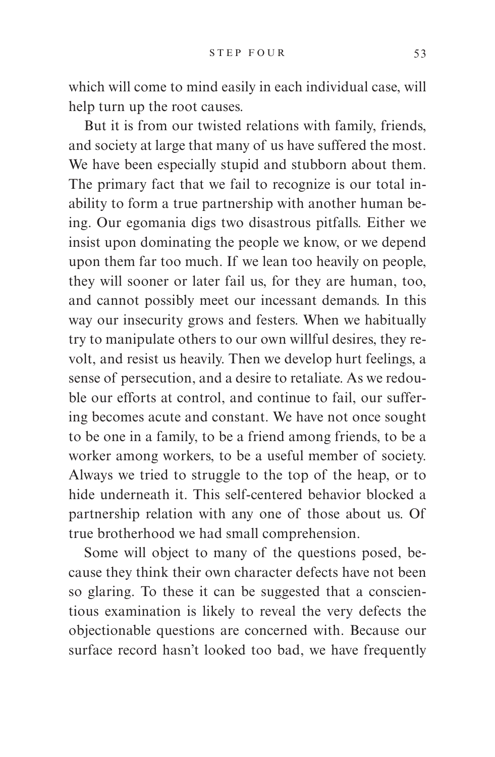which will come to mind easily in each individual case, will help turn up the root causes.

But it is from our twisted relations with family, friends, and society at large that many of us have suffered the most. We have been especially stupid and stubborn about them. The primary fact that we fail to recognize is our total inability to form a true partnership with another human being. Our egomania digs two disastrous pitfalls. Either we insist upon dominating the people we know, or we depend upon them far too much. If we lean too heavily on people, they will sooner or later fail us, for they are human, too, and cannot possibly meet our incessant demands. In this way our insecurity grows and festers. When we habitually try to manipulate others to our own willful desires, they revolt, and resist us heavily. Then we develop hurt feelings, a sense of persecution, and a desire to retaliate. As we redouble our efforts at control, and continue to fail, our suffering becomes acute and constant. We have not once sought to be one in a family, to be a friend among friends, to be a worker among workers, to be a useful member of society. Always we tried to struggle to the top of the heap, or to hide underneath it. This self-centered behavior blocked a partnership relation with any one of those about us. Of true brotherhood we had small comprehension.

Some will object to many of the questions posed, because they think their own character defects have not been so glaring. To these it can be suggested that a conscientious examination is likely to reveal the very defects the objectionable questions are concerned with. Because our surface record hasn't looked too bad, we have frequently